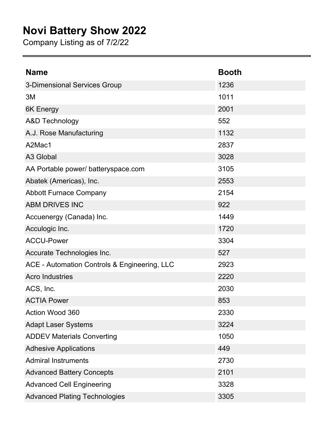## **Novi Battery Show 2022**

Company Listing as of 7/2/22

| <b>Name</b>                                  | <b>Booth</b> |
|----------------------------------------------|--------------|
| 3-Dimensional Services Group                 | 1236         |
| 3M                                           | 1011         |
| 6K Energy                                    | 2001         |
| <b>A&amp;D Technology</b>                    | 552          |
| A.J. Rose Manufacturing                      | 1132         |
| A2Mac1                                       | 2837         |
| A3 Global                                    | 3028         |
| AA Portable power/ batteryspace.com          | 3105         |
| Abatek (Americas), Inc.                      | 2553         |
| <b>Abbott Furnace Company</b>                | 2154         |
| <b>ABM DRIVES INC</b>                        | 922          |
| Accuenergy (Canada) Inc.                     | 1449         |
| Acculogic Inc.                               | 1720         |
| <b>ACCU-Power</b>                            | 3304         |
| Accurate Technologies Inc.                   | 527          |
| ACE - Automation Controls & Engineering, LLC | 2923         |
| <b>Acro Industries</b>                       | 2220         |
| ACS, Inc.                                    | 2030         |
| <b>ACTIA Power</b>                           | 853          |
| Action Wood 360                              | 2330         |
| <b>Adapt Laser Systems</b>                   | 3224         |
| <b>ADDEV Materials Converting</b>            | 1050         |
| <b>Adhesive Applications</b>                 | 449          |
| <b>Admiral Instruments</b>                   | 2730         |
| <b>Advanced Battery Concepts</b>             | 2101         |
| <b>Advanced Cell Engineering</b>             | 3328         |
| <b>Advanced Plating Technologies</b>         | 3305         |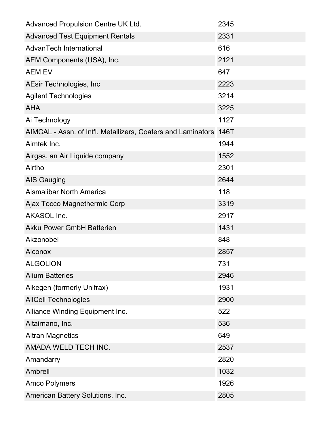| Advanced Propulsion Centre UK Ltd.                           | 2345 |
|--------------------------------------------------------------|------|
| <b>Advanced Test Equipment Rentals</b>                       | 2331 |
| AdvanTech International                                      | 616  |
| AEM Components (USA), Inc.                                   | 2121 |
| <b>AEM EV</b>                                                | 647  |
| AEsir Technologies, Inc.                                     | 2223 |
| <b>Agilent Technologies</b>                                  | 3214 |
| <b>AHA</b>                                                   | 3225 |
| Ai Technology                                                | 1127 |
| AIMCAL - Assn. of Int'l. Metallizers, Coaters and Laminators | 146T |
| Aimtek Inc.                                                  | 1944 |
| Airgas, an Air Liquide company                               | 1552 |
| Airtho                                                       | 2301 |
| <b>AIS Gauging</b>                                           | 2644 |
| <b>Aismalibar North America</b>                              | 118  |
| Ajax Tocco Magnethermic Corp                                 | 3319 |
| <b>AKASOL Inc.</b>                                           | 2917 |
| <b>Akku Power GmbH Batterien</b>                             | 1431 |
| Akzonobel                                                    | 848  |
| <b>Alconox</b>                                               | 2857 |
| <b>ALGOLION</b>                                              | 731  |
| <b>Alium Batteries</b>                                       | 2946 |
| Alkegen (formerly Unifrax)                                   | 1931 |
| <b>AllCell Technologies</b>                                  | 2900 |
| Alliance Winding Equipment Inc.                              | 522  |
| Altairnano, Inc.                                             | 536  |
| <b>Altran Magnetics</b>                                      | 649  |
| AMADA WELD TECH INC.                                         | 2537 |
| Amandarry                                                    | 2820 |
| Ambrell                                                      | 1032 |
| <b>Amco Polymers</b>                                         | 1926 |
| American Battery Solutions, Inc.                             | 2805 |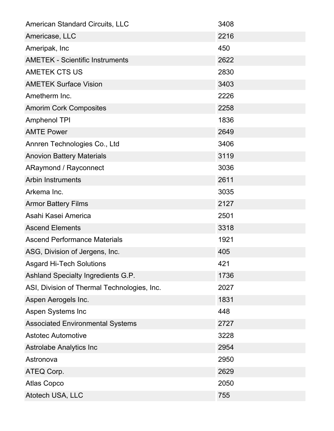| <b>American Standard Circuits, LLC</b>      | 3408 |
|---------------------------------------------|------|
| Americase, LLC                              | 2216 |
| Ameripak, Inc                               | 450  |
| <b>AMETEK - Scientific Instruments</b>      | 2622 |
| <b>AMETEK CTS US</b>                        | 2830 |
| <b>AMETEK Surface Vision</b>                | 3403 |
| Ametherm Inc.                               | 2226 |
| <b>Amorim Cork Composites</b>               | 2258 |
| <b>Amphenol TPI</b>                         | 1836 |
| <b>AMTE Power</b>                           | 2649 |
| Annren Technologies Co., Ltd                | 3406 |
| <b>Anovion Battery Materials</b>            | 3119 |
| <b>ARaymond / Rayconnect</b>                | 3036 |
| <b>Arbin Instruments</b>                    | 2611 |
| Arkema Inc.                                 | 3035 |
| <b>Armor Battery Films</b>                  | 2127 |
| Asahi Kasei America                         | 2501 |
| <b>Ascend Elements</b>                      | 3318 |
| <b>Ascend Performance Materials</b>         | 1921 |
| ASG, Division of Jergens, Inc.              | 405  |
| <b>Asgard Hi-Tech Solutions</b>             | 421  |
| Ashland Specialty Ingredients G.P.          | 1736 |
| ASI, Division of Thermal Technologies, Inc. | 2027 |
| Aspen Aerogels Inc.                         | 1831 |
| Aspen Systems Inc                           | 448  |
| <b>Associated Environmental Systems</b>     | 2727 |
| <b>Astotec Automotive</b>                   | 3228 |
| Astrolabe Analytics Inc                     | 2954 |
| Astronova                                   | 2950 |
| ATEQ Corp.                                  | 2629 |
| <b>Atlas Copco</b>                          | 2050 |
| Atotech USA, LLC                            | 755  |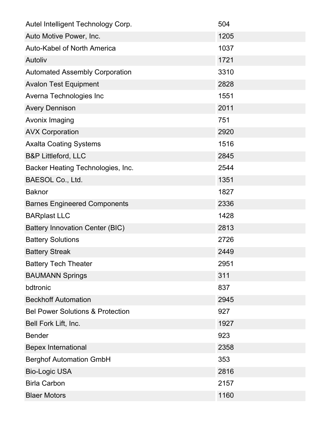| Autel Intelligent Technology Corp.          | 504  |
|---------------------------------------------|------|
| Auto Motive Power, Inc.                     | 1205 |
| <b>Auto-Kabel of North America</b>          | 1037 |
| Autoliv                                     | 1721 |
| <b>Automated Assembly Corporation</b>       | 3310 |
| <b>Avalon Test Equipment</b>                | 2828 |
| Averna Technologies Inc                     | 1551 |
| <b>Avery Dennison</b>                       | 2011 |
| Avonix Imaging                              | 751  |
| <b>AVX Corporation</b>                      | 2920 |
| <b>Axalta Coating Systems</b>               | 1516 |
| <b>B&amp;P Littleford, LLC</b>              | 2845 |
| Backer Heating Technologies, Inc.           | 2544 |
| BAESOL Co., Ltd.                            | 1351 |
| <b>Baknor</b>                               | 1827 |
| <b>Barnes Engineered Components</b>         | 2336 |
| <b>BARplast LLC</b>                         | 1428 |
| Battery Innovation Center (BIC)             | 2813 |
| <b>Battery Solutions</b>                    | 2726 |
| <b>Battery Streak</b>                       | 2449 |
| <b>Battery Tech Theater</b>                 | 2951 |
| <b>BAUMANN Springs</b>                      | 311  |
| bdtronic                                    | 837  |
| <b>Beckhoff Automation</b>                  | 2945 |
| <b>Bel Power Solutions &amp; Protection</b> | 927  |
| Bell Fork Lift, Inc.                        | 1927 |
| <b>Bender</b>                               | 923  |
| <b>Bepex International</b>                  | 2358 |
| <b>Berghof Automation GmbH</b>              | 353  |
| <b>Bio-Logic USA</b>                        | 2816 |
| <b>Birla Carbon</b>                         | 2157 |
| <b>Blaer Motors</b>                         | 1160 |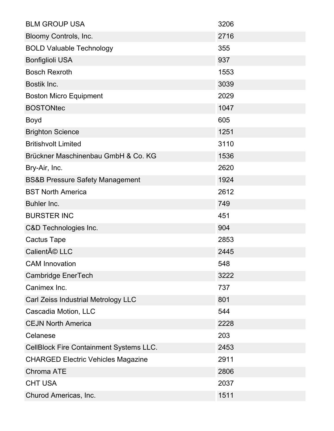| <b>BLM GROUP USA</b>                           | 3206 |
|------------------------------------------------|------|
| Bloomy Controls, Inc.                          | 2716 |
| <b>BOLD Valuable Technology</b>                | 355  |
| <b>Bonfiglioli USA</b>                         | 937  |
| <b>Bosch Rexroth</b>                           | 1553 |
| Bostik Inc.                                    | 3039 |
| <b>Boston Micro Equipment</b>                  | 2029 |
| <b>BOSTONtec</b>                               | 1047 |
| <b>Boyd</b>                                    | 605  |
| <b>Brighton Science</b>                        | 1251 |
| <b>Britishvolt Limited</b>                     | 3110 |
| Brückner Maschinenbau GmbH & Co. KG            | 1536 |
| Bry-Air, Inc.                                  | 2620 |
| <b>BS&amp;B Pressure Safety Management</b>     | 1924 |
| <b>BST North America</b>                       | 2612 |
| Buhler Inc.                                    | 749  |
| <b>BURSTER INC</b>                             | 451  |
| C&D Technologies Inc.                          | 904  |
| <b>Cactus Tape</b>                             | 2853 |
| Calienté LLC                                   | 2445 |
| <b>CAM Innovation</b>                          | 548  |
| Cambridge EnerTech                             | 3222 |
| Canimex Inc.                                   | 737  |
| Carl Zeiss Industrial Metrology LLC            | 801  |
| Cascadia Motion, LLC                           | 544  |
| <b>CEJN North America</b>                      | 2228 |
| Celanese                                       | 203  |
| <b>CellBlock Fire Containment Systems LLC.</b> | 2453 |
| <b>CHARGED Electric Vehicles Magazine</b>      | 2911 |
| <b>Chroma ATE</b>                              | 2806 |
| <b>CHT USA</b>                                 | 2037 |
| Churod Americas, Inc.                          | 1511 |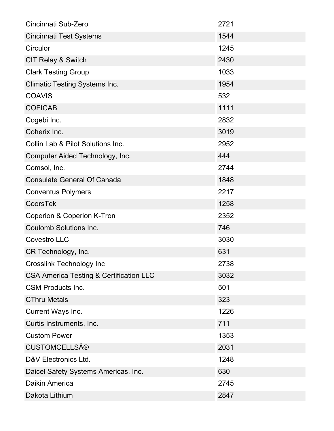| Cincinnati Sub-Zero                                | 2721 |
|----------------------------------------------------|------|
| <b>Cincinnati Test Systems</b>                     | 1544 |
| Circulor                                           | 1245 |
| <b>CIT Relay &amp; Switch</b>                      | 2430 |
| <b>Clark Testing Group</b>                         | 1033 |
| <b>Climatic Testing Systems Inc.</b>               | 1954 |
| <b>COAVIS</b>                                      | 532  |
| <b>COFICAB</b>                                     | 1111 |
| Cogebi Inc.                                        | 2832 |
| Coherix Inc.                                       | 3019 |
| Collin Lab & Pilot Solutions Inc.                  | 2952 |
| Computer Aided Technology, Inc.                    | 444  |
| Comsol, Inc.                                       | 2744 |
| <b>Consulate General Of Canada</b>                 | 1848 |
| <b>Conventus Polymers</b>                          | 2217 |
| CoorsTek                                           | 1258 |
| Coperion & Coperion K-Tron                         | 2352 |
| <b>Coulomb Solutions Inc.</b>                      | 746  |
| <b>Covestro LLC</b>                                | 3030 |
| CR Technology, Inc.                                | 631  |
| <b>Crosslink Technology Inc</b>                    | 2738 |
| <b>CSA America Testing &amp; Certification LLC</b> | 3032 |
| <b>CSM Products Inc.</b>                           | 501  |
| <b>CThru Metals</b>                                | 323  |
| Current Ways Inc.                                  | 1226 |
| Curtis Instruments, Inc.                           | 711  |
| <b>Custom Power</b>                                | 1353 |
| <b>CUSTOMCELLS®</b>                                | 2031 |
| D&V Electronics Ltd.                               | 1248 |
| Daicel Safety Systems Americas, Inc.               | 630  |
| Daikin America                                     | 2745 |
| Dakota Lithium                                     | 2847 |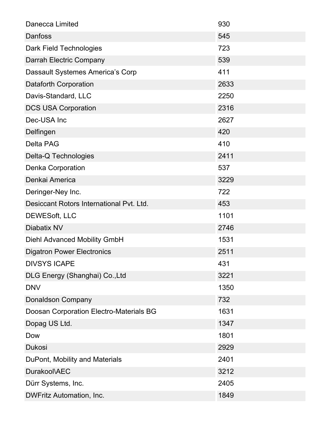| <b>Danecca Limited</b>                   | 930  |
|------------------------------------------|------|
| Danfoss                                  | 545  |
| Dark Field Technologies                  | 723  |
| Darrah Electric Company                  | 539  |
| Dassault Systemes America's Corp         | 411  |
| <b>Dataforth Corporation</b>             | 2633 |
| Davis-Standard, LLC                      | 2250 |
| <b>DCS USA Corporation</b>               | 2316 |
| Dec-USA Inc                              | 2627 |
| Delfingen                                | 420  |
| <b>Delta PAG</b>                         | 410  |
| Delta-Q Technologies                     | 2411 |
| Denka Corporation                        | 537  |
| Denkai America                           | 3229 |
| Deringer-Ney Inc.                        | 722  |
| Desiccant Rotors International Pvt. Ltd. | 453  |
| DEWES oft, LLC                           | 1101 |
| Diabatix NV                              | 2746 |
| <b>Diehl Advanced Mobility GmbH</b>      | 1531 |
| <b>Digatron Power Electronics</b>        | 2511 |
| <b>DIVSYS ICAPE</b>                      | 431  |
| DLG Energy (Shanghai) Co., Ltd           | 3221 |
| <b>DNV</b>                               | 1350 |
| <b>Donaldson Company</b>                 | 732  |
| Doosan Corporation Electro-Materials BG  | 1631 |
| Dopag US Ltd.                            | 1347 |
| Dow                                      | 1801 |
| <b>Dukosi</b>                            | 2929 |
| DuPont, Mobility and Materials           | 2401 |
| Durakool\AEC                             | 3212 |
| Dürr Systems, Inc.                       | 2405 |
| DWFritz Automation, Inc.                 | 1849 |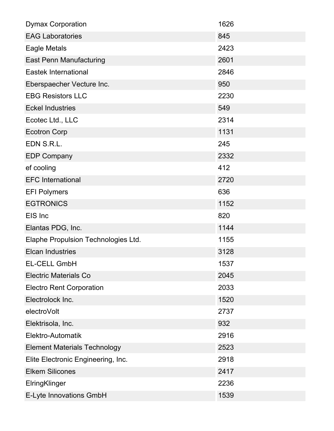| <b>Dymax Corporation</b>            | 1626 |
|-------------------------------------|------|
| <b>EAG Laboratories</b>             | 845  |
| Eagle Metals                        | 2423 |
| <b>East Penn Manufacturing</b>      | 2601 |
| <b>Eastek International</b>         | 2846 |
| Eberspaecher Vecture Inc.           | 950  |
| <b>EBG Resistors LLC</b>            | 2230 |
| <b>Eckel Industries</b>             | 549  |
| Ecotec Ltd., LLC                    | 2314 |
| <b>Ecotron Corp</b>                 | 1131 |
| EDN S.R.L.                          | 245  |
| <b>EDP Company</b>                  | 2332 |
| ef cooling                          | 412  |
| <b>EFC</b> International            | 2720 |
| <b>EFI Polymers</b>                 | 636  |
| <b>EGTRONICS</b>                    | 1152 |
| EIS Inc                             | 820  |
| Elantas PDG, Inc.                   | 1144 |
| Elaphe Propulsion Technologies Ltd. | 1155 |
| <b>Elcan Industries</b>             | 3128 |
| <b>EL-CELL GmbH</b>                 | 1537 |
| <b>Electric Materials Co</b>        | 2045 |
| <b>Electro Rent Corporation</b>     | 2033 |
| Electrolock Inc.                    | 1520 |
| electroVolt                         | 2737 |
| Elektrisola, Inc.                   | 932  |
| Elektro-Automatik                   | 2916 |
| <b>Element Materials Technology</b> | 2523 |
| Elite Electronic Engineering, Inc.  | 2918 |
| <b>Elkem Silicones</b>              | 2417 |
| ElringKlinger                       | 2236 |
| E-Lyte Innovations GmbH             | 1539 |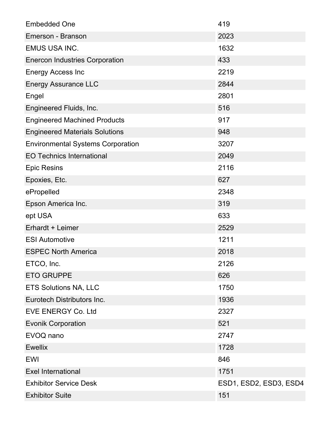| <b>Embedded One</b>                      | 419                    |
|------------------------------------------|------------------------|
| Emerson - Branson                        | 2023                   |
| <b>EMUS USA INC.</b>                     | 1632                   |
| <b>Enercon Industries Corporation</b>    | 433                    |
| <b>Energy Access Inc</b>                 | 2219                   |
| <b>Energy Assurance LLC</b>              | 2844                   |
| Engel                                    | 2801                   |
| Engineered Fluids, Inc.                  | 516                    |
| <b>Engineered Machined Products</b>      | 917                    |
| <b>Engineered Materials Solutions</b>    | 948                    |
| <b>Environmental Systems Corporation</b> | 3207                   |
| <b>EO Technics International</b>         | 2049                   |
| <b>Epic Resins</b>                       | 2116                   |
| Epoxies, Etc.                            | 627                    |
| ePropelled                               | 2348                   |
| Epson America Inc.                       | 319                    |
| ept USA                                  | 633                    |
| Erhardt + Leimer                         | 2529                   |
| <b>ESI Automotive</b>                    | 1211                   |
| <b>ESPEC North America</b>               | 2018                   |
| ETCO, Inc.                               | 2126                   |
| <b>ETO GRUPPE</b>                        | 626                    |
| <b>ETS Solutions NA, LLC</b>             | 1750                   |
| Eurotech Distributors Inc.               | 1936                   |
| <b>EVE ENERGY Co. Ltd</b>                | 2327                   |
| <b>Evonik Corporation</b>                | 521                    |
| EVOQ nano                                | 2747                   |
| <b>Ewellix</b>                           | 1728                   |
| <b>EWI</b>                               | 846                    |
| <b>Exel International</b>                | 1751                   |
| <b>Exhibitor Service Desk</b>            | ESD1, ESD2, ESD3, ESD4 |
| <b>Exhibitor Suite</b>                   | 151                    |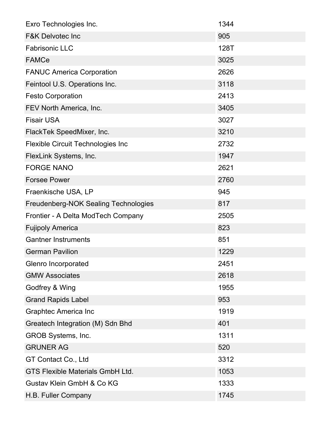| Exro Technologies Inc.                   | 1344 |
|------------------------------------------|------|
| <b>F&amp;K Delvotec Inc</b>              | 905  |
| <b>Fabrisonic LLC</b>                    | 128T |
| <b>FAMCe</b>                             | 3025 |
| <b>FANUC America Corporation</b>         | 2626 |
| Feintool U.S. Operations Inc.            | 3118 |
| <b>Festo Corporation</b>                 | 2413 |
| FEV North America, Inc.                  | 3405 |
| <b>Fisair USA</b>                        | 3027 |
| FlackTek SpeedMixer, Inc.                | 3210 |
| <b>Flexible Circuit Technologies Inc</b> | 2732 |
| FlexLink Systems, Inc.                   | 1947 |
| <b>FORGE NANO</b>                        | 2621 |
| <b>Forsee Power</b>                      | 2760 |
| Fraenkische USA, LP                      | 945  |
| Freudenberg-NOK Sealing Technologies     | 817  |
| Frontier - A Delta ModTech Company       | 2505 |
| <b>Fujipoly America</b>                  | 823  |
| <b>Gantner Instruments</b>               | 851  |
| <b>German Pavilion</b>                   | 1229 |
| Glenro Incorporated                      | 2451 |
| <b>GMW Associates</b>                    | 2618 |
| Godfrey & Wing                           | 1955 |
| <b>Grand Rapids Label</b>                | 953  |
| <b>Graphtec America Inc</b>              | 1919 |
| Greatech Integration (M) Sdn Bhd         | 401  |
| GROB Systems, Inc.                       | 1311 |
| <b>GRUNER AG</b>                         | 520  |
| GT Contact Co., Ltd                      | 3312 |
| <b>GTS Flexible Materials GmbH Ltd.</b>  | 1053 |
| Gustav Klein GmbH & Co KG                | 1333 |
| H.B. Fuller Company                      | 1745 |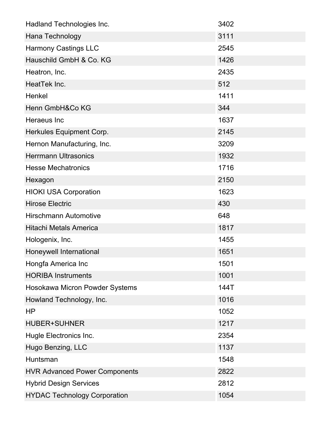| Hadland Technologies Inc.            | 3402 |
|--------------------------------------|------|
| Hana Technology                      | 3111 |
| <b>Harmony Castings LLC</b>          | 2545 |
| Hauschild GmbH & Co. KG              | 1426 |
| Heatron, Inc.                        | 2435 |
| HeatTek Inc.                         | 512  |
| Henkel                               | 1411 |
| Henn GmbH&Co KG                      | 344  |
| Heraeus Inc                          | 1637 |
| Herkules Equipment Corp.             | 2145 |
| Hernon Manufacturing, Inc.           | 3209 |
| <b>Herrmann Ultrasonics</b>          | 1932 |
| <b>Hesse Mechatronics</b>            | 1716 |
| Hexagon                              | 2150 |
| <b>HIOKI USA Corporation</b>         | 1623 |
| <b>Hirose Electric</b>               | 430  |
| <b>Hirschmann Automotive</b>         | 648  |
| <b>Hitachi Metals America</b>        | 1817 |
| Hologenix, Inc.                      | 1455 |
| Honeywell International              | 1651 |
| Hongfa America Inc                   | 1501 |
| <b>HORIBA Instruments</b>            | 1001 |
| Hosokawa Micron Powder Systems       | 144T |
| Howland Technology, Inc.             | 1016 |
| <b>HP</b>                            | 1052 |
| <b>HUBER+SUHNER</b>                  | 1217 |
| Hugle Electronics Inc.               | 2354 |
| Hugo Benzing, LLC                    | 1137 |
| Huntsman                             | 1548 |
| <b>HVR Advanced Power Components</b> | 2822 |
| <b>Hybrid Design Services</b>        | 2812 |
| <b>HYDAC Technology Corporation</b>  | 1054 |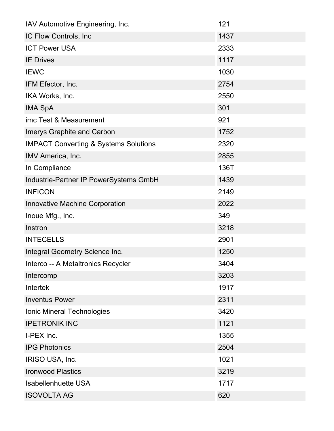| IAV Automotive Engineering, Inc.                 | 121  |
|--------------------------------------------------|------|
| IC Flow Controls, Inc.                           | 1437 |
| <b>ICT Power USA</b>                             | 2333 |
| <b>IE Drives</b>                                 | 1117 |
| <b>IEWC</b>                                      | 1030 |
| IFM Efector, Inc.                                | 2754 |
| IKA Works, Inc.                                  | 2550 |
| <b>IMA SpA</b>                                   | 301  |
| imc Test & Measurement                           | 921  |
| <b>Imerys Graphite and Carbon</b>                | 1752 |
| <b>IMPACT Converting &amp; Systems Solutions</b> | 2320 |
| IMV America, Inc.                                | 2855 |
| In Compliance                                    | 136T |
| Industrie-Partner IP PowerSystems GmbH           | 1439 |
| <b>INFICON</b>                                   | 2149 |
| Innovative Machine Corporation                   | 2022 |
| Inoue Mfg., Inc.                                 | 349  |
| Instron                                          | 3218 |
| <b>INTECELLS</b>                                 | 2901 |
| Integral Geometry Science Inc.                   | 1250 |
| Interco -- A Metaltronics Recycler               | 3404 |
| Intercomp                                        | 3203 |
| <b>Intertek</b>                                  | 1917 |
| <b>Inventus Power</b>                            | 2311 |
| Ionic Mineral Technologies                       | 3420 |
| <b>IPETRONIK INC</b>                             | 1121 |
| I-PEX Inc.                                       | 1355 |
| <b>IPG Photonics</b>                             | 2504 |
| IRISO USA, Inc.                                  | 1021 |
| <b>Ironwood Plastics</b>                         | 3219 |
| <b>Isabellenhuette USA</b>                       | 1717 |
| <b>ISOVOLTA AG</b>                               | 620  |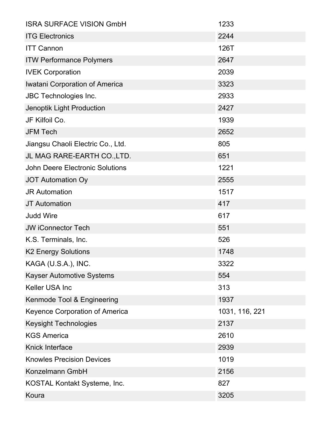| <b>ISRA SURFACE VISION GmbH</b>        | 1233           |
|----------------------------------------|----------------|
| <b>ITG Electronics</b>                 | 2244           |
| <b>ITT Cannon</b>                      | 126T           |
| <b>ITW Performance Polymers</b>        | 2647           |
| <b>IVEK Corporation</b>                | 2039           |
| Iwatani Corporation of America         | 3323           |
| <b>JBC Technologies Inc.</b>           | 2933           |
| Jenoptik Light Production              | 2427           |
| JF Kilfoil Co.                         | 1939           |
| <b>JFM Tech</b>                        | 2652           |
| Jiangsu Chaoli Electric Co., Ltd.      | 805            |
| JL MAG RARE-EARTH CO., LTD.            | 651            |
| <b>John Deere Electronic Solutions</b> | 1221           |
| <b>JOT Automation Oy</b>               | 2555           |
| <b>JR Automation</b>                   | 1517           |
| <b>JT</b> Automation                   | 417            |
| <b>Judd Wire</b>                       | 617            |
| <b>JW iConnector Tech</b>              | 551            |
| K.S. Terminals, Inc.                   | 526            |
| <b>K2 Energy Solutions</b>             | 1748           |
| KAGA (U.S.A.), INC.                    | 3322           |
| <b>Kayser Automotive Systems</b>       | 554            |
| <b>Keller USA Inc</b>                  | 313            |
| Kenmode Tool & Engineering             | 1937           |
| <b>Keyence Corporation of America</b>  | 1031, 116, 221 |
| <b>Keysight Technologies</b>           | 2137           |
| <b>KGS America</b>                     | 2610           |
| <b>Knick Interface</b>                 | 2939           |
| <b>Knowles Precision Devices</b>       | 1019           |
| Konzelmann GmbH                        | 2156           |
| KOSTAL Kontakt Systeme, Inc.           | 827            |
| Koura                                  | 3205           |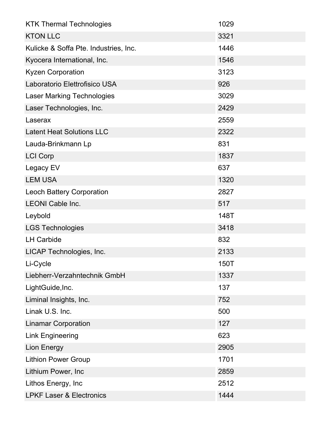| <b>KTK Thermal Technologies</b>       | 1029 |
|---------------------------------------|------|
| <b>KTON LLC</b>                       | 3321 |
| Kulicke & Soffa Pte. Industries, Inc. | 1446 |
| Kyocera International, Inc.           | 1546 |
| <b>Kyzen Corporation</b>              | 3123 |
| Laboratorio Elettrofisico USA         | 926  |
| <b>Laser Marking Technologies</b>     | 3029 |
| Laser Technologies, Inc.              | 2429 |
| Laserax                               | 2559 |
| <b>Latent Heat Solutions LLC</b>      | 2322 |
| Lauda-Brinkmann Lp                    | 831  |
| <b>LCI Corp</b>                       | 1837 |
| Legacy EV                             | 637  |
| <b>LEM USA</b>                        | 1320 |
| <b>Leoch Battery Corporation</b>      | 2827 |
| <b>LEONI Cable Inc.</b>               | 517  |
| Leybold                               | 148T |
| <b>LGS Technologies</b>               | 3418 |
| <b>LH Carbide</b>                     | 832  |
| LICAP Technologies, Inc.              | 2133 |
| Li-Cycle                              | 150T |
| Liebherr-Verzahntechnik GmbH          | 1337 |
| LightGuide, Inc.                      | 137  |
| Liminal Insights, Inc.                | 752  |
| Linak U.S. Inc.                       | 500  |
| <b>Linamar Corporation</b>            | 127  |
| <b>Link Engineering</b>               | 623  |
| <b>Lion Energy</b>                    | 2905 |
| <b>Lithion Power Group</b>            | 1701 |
| Lithium Power, Inc                    | 2859 |
| Lithos Energy, Inc                    | 2512 |
| <b>LPKF Laser &amp; Electronics</b>   | 1444 |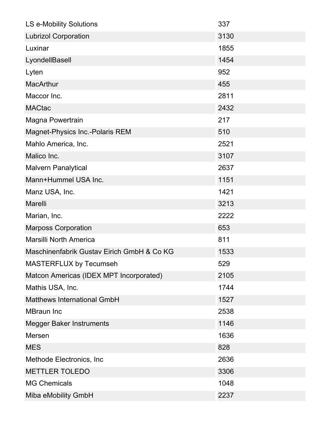| LS e-Mobility Solutions                    | 337  |
|--------------------------------------------|------|
| <b>Lubrizol Corporation</b>                | 3130 |
| Luxinar                                    | 1855 |
| LyondellBasell                             | 1454 |
| Lyten                                      | 952  |
| <b>MacArthur</b>                           | 455  |
| Maccor Inc.                                | 2811 |
| <b>MACtac</b>                              | 2432 |
| Magna Powertrain                           | 217  |
| Magnet-Physics Inc.-Polaris REM            | 510  |
| Mahlo America, Inc.                        | 2521 |
| Malico Inc.                                | 3107 |
| <b>Malvern Panalytical</b>                 | 2637 |
| Mann+Hummel USA Inc.                       | 1151 |
| Manz USA, Inc.                             | 1421 |
| Marelli                                    | 3213 |
| Marian, Inc.                               | 2222 |
| <b>Marposs Corporation</b>                 | 653  |
| <b>Marsilli North America</b>              | 811  |
| Maschinenfabrik Gustav Eirich GmbH & Co KG | 1533 |
| <b>MASTERFLUX by Tecumseh</b>              | 529  |
| Matcon Americas (IDEX MPT Incorporated)    | 2105 |
| Mathis USA, Inc.                           | 1744 |
| <b>Matthews International GmbH</b>         | 1527 |
| <b>MBraun Inc</b>                          | 2538 |
| <b>Megger Baker Instruments</b>            | 1146 |
| Mersen                                     | 1636 |
| <b>MES</b>                                 | 828  |
| Methode Electronics, Inc.                  | 2636 |
| <b>METTLER TOLEDO</b>                      | 3306 |
| <b>MG Chemicals</b>                        | 1048 |
| Miba eMobility GmbH                        | 2237 |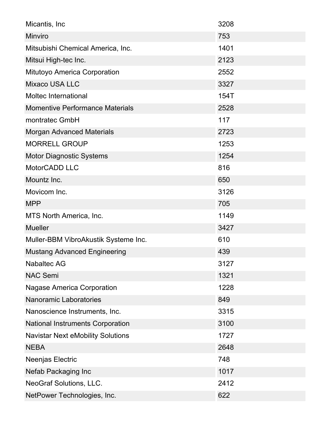| Micantis, Inc.                           | 3208 |
|------------------------------------------|------|
| Minviro                                  | 753  |
| Mitsubishi Chemical America, Inc.        | 1401 |
| Mitsui High-tec Inc.                     | 2123 |
| <b>Mitutoyo America Corporation</b>      | 2552 |
| <b>Mixaco USA LLC</b>                    | 3327 |
| <b>Moltec International</b>              | 154T |
| <b>Momentive Performance Materials</b>   | 2528 |
| montratec GmbH                           | 117  |
| <b>Morgan Advanced Materials</b>         | 2723 |
| <b>MORRELL GROUP</b>                     | 1253 |
| <b>Motor Diagnostic Systems</b>          | 1254 |
| MotorCADD LLC                            | 816  |
| Mountz Inc.                              | 650  |
| Movicom Inc.                             | 3126 |
| <b>MPP</b>                               | 705  |
| MTS North America, Inc.                  | 1149 |
| <b>Mueller</b>                           | 3427 |
| Muller-BBM VibroAkustik Systeme Inc.     | 610  |
| <b>Mustang Advanced Engineering</b>      | 439  |
| <b>Nabaltec AG</b>                       | 3127 |
| <b>NAC Semi</b>                          | 1321 |
| <b>Nagase America Corporation</b>        | 1228 |
| <b>Nanoramic Laboratories</b>            | 849  |
| Nanoscience Instruments, Inc.            | 3315 |
| <b>National Instruments Corporation</b>  | 3100 |
| <b>Navistar Next eMobility Solutions</b> | 1727 |
| <b>NEBA</b>                              | 2648 |
| Neenjas Electric                         | 748  |
| Nefab Packaging Inc                      | 1017 |
| <b>NeoGraf Solutions, LLC.</b>           | 2412 |
| NetPower Technologies, Inc.              | 622  |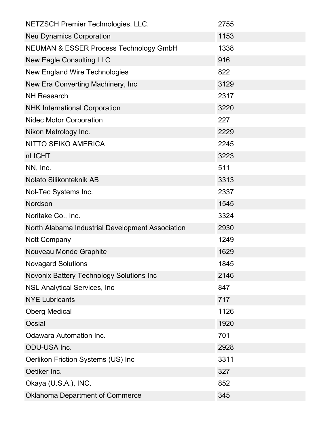| NETZSCH Premier Technologies, LLC.                | 2755 |
|---------------------------------------------------|------|
| <b>Neu Dynamics Corporation</b>                   | 1153 |
| <b>NEUMAN &amp; ESSER Process Technology GmbH</b> | 1338 |
| <b>New Eagle Consulting LLC</b>                   | 916  |
| <b>New England Wire Technologies</b>              | 822  |
| New Era Converting Machinery, Inc                 | 3129 |
| <b>NH Research</b>                                | 2317 |
| <b>NHK International Corporation</b>              | 3220 |
| <b>Nidec Motor Corporation</b>                    | 227  |
| Nikon Metrology Inc.                              | 2229 |
| <b>NITTO SEIKO AMERICA</b>                        | 2245 |
| nLIGHT                                            | 3223 |
| NN, Inc.                                          | 511  |
| Nolato Silikonteknik AB                           | 3313 |
| Nol-Tec Systems Inc.                              | 2337 |
| Nordson                                           | 1545 |
| Noritake Co., Inc.                                | 3324 |
| North Alabama Industrial Development Association  | 2930 |
| Nott Company                                      | 1249 |
| Nouveau Monde Graphite                            | 1629 |
| <b>Novagard Solutions</b>                         | 1845 |
| Novonix Battery Technology Solutions Inc          | 2146 |
| <b>NSL Analytical Services, Inc.</b>              | 847  |
| <b>NYE Lubricants</b>                             | 717  |
| <b>Oberg Medical</b>                              | 1126 |
| Ocsial                                            | 1920 |
| Odawara Automation Inc.                           | 701  |
| ODU-USA Inc.                                      | 2928 |
| Oerlikon Friction Systems (US) Inc                | 3311 |
| Oetiker Inc.                                      | 327  |
| Okaya (U.S.A.), INC.                              | 852  |
| <b>Oklahoma Department of Commerce</b>            | 345  |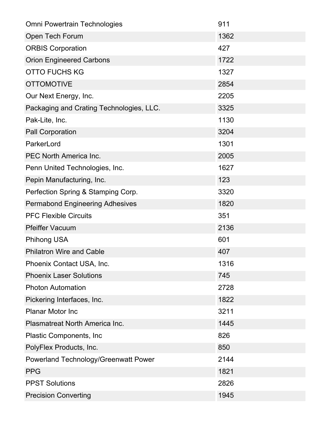| <b>Omni Powertrain Technologies</b>         | 911  |
|---------------------------------------------|------|
| Open Tech Forum                             | 1362 |
| <b>ORBIS Corporation</b>                    | 427  |
| <b>Orion Engineered Carbons</b>             | 1722 |
| <b>OTTO FUCHS KG</b>                        | 1327 |
| <b>OTTOMOTIVE</b>                           | 2854 |
| Our Next Energy, Inc.                       | 2205 |
| Packaging and Crating Technologies, LLC.    | 3325 |
| Pak-Lite, Inc.                              | 1130 |
| <b>Pall Corporation</b>                     | 3204 |
| ParkerLord                                  | 1301 |
| <b>PEC North America Inc.</b>               | 2005 |
| Penn United Technologies, Inc.              | 1627 |
| Pepin Manufacturing, Inc.                   | 123  |
| Perfection Spring & Stamping Corp.          | 3320 |
| <b>Permabond Engineering Adhesives</b>      | 1820 |
| <b>PFC Flexible Circuits</b>                | 351  |
| <b>Pfeiffer Vacuum</b>                      | 2136 |
| <b>Phihong USA</b>                          | 601  |
| <b>Philatron Wire and Cable</b>             | 407  |
| Phoenix Contact USA, Inc.                   | 1316 |
| <b>Phoenix Laser Solutions</b>              | 745  |
| <b>Photon Automation</b>                    | 2728 |
| Pickering Interfaces, Inc.                  | 1822 |
| <b>Planar Motor Inc</b>                     | 3211 |
| Plasmatreat North America Inc.              | 1445 |
| <b>Plastic Components, Inc.</b>             | 826  |
| PolyFlex Products, Inc.                     | 850  |
| <b>Powerland Technology/Greenwatt Power</b> | 2144 |
| <b>PPG</b>                                  | 1821 |
| <b>PPST Solutions</b>                       | 2826 |
| <b>Precision Converting</b>                 | 1945 |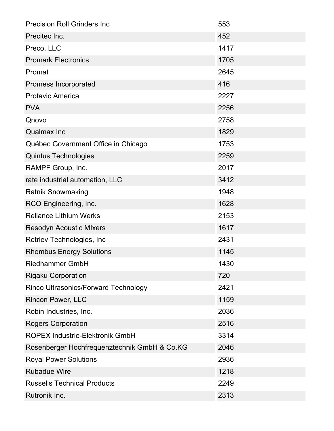| <b>Precision Roll Grinders Inc.</b>          | 553  |
|----------------------------------------------|------|
| Precitec Inc.                                | 452  |
| Preco, LLC                                   | 1417 |
| <b>Promark Electronics</b>                   | 1705 |
| Promat                                       | 2645 |
| Promess Incorporated                         | 416  |
| <b>Protavic America</b>                      | 2227 |
| <b>PVA</b>                                   | 2256 |
| Qnovo                                        | 2758 |
| <b>Qualmax Inc</b>                           | 1829 |
| Québec Government Office in Chicago          | 1753 |
| <b>Quintus Technologies</b>                  | 2259 |
| RAMPF Group, Inc.                            | 2017 |
| rate industrial automation, LLC              | 3412 |
| <b>Ratnik Snowmaking</b>                     | 1948 |
| RCO Engineering, Inc.                        | 1628 |
| <b>Reliance Lithium Werks</b>                | 2153 |
| <b>Resodyn Acoustic MIxers</b>               | 1617 |
| Retriev Technologies, Inc.                   | 2431 |
| <b>Rhombus Energy Solutions</b>              | 1145 |
| <b>Riedhammer GmbH</b>                       | 1430 |
| <b>Rigaku Corporation</b>                    | 720  |
| Rinco Ultrasonics/Forward Technology         | 2421 |
| <b>Rincon Power, LLC</b>                     | 1159 |
| Robin Industries, Inc.                       | 2036 |
| <b>Rogers Corporation</b>                    | 2516 |
| <b>ROPEX Industrie-Elektronik GmbH</b>       | 3314 |
| Rosenberger Hochfrequenztechnik GmbH & Co.KG | 2046 |
| <b>Royal Power Solutions</b>                 | 2936 |
| <b>Rubadue Wire</b>                          | 1218 |
| <b>Russells Technical Products</b>           | 2249 |
| Rutronik Inc.                                | 2313 |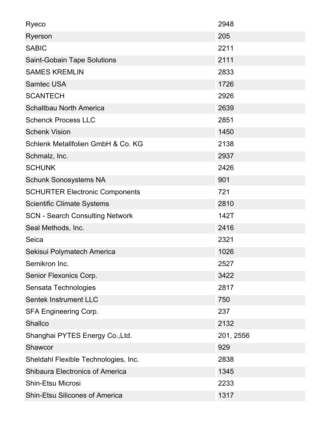| Ryeco                                  | 2948      |
|----------------------------------------|-----------|
| Ryerson                                | 205       |
| <b>SABIC</b>                           | 2211      |
| <b>Saint-Gobain Tape Solutions</b>     | 2111      |
| <b>SAMES KREMLIN</b>                   | 2833      |
| <b>Samtec USA</b>                      | 1726      |
| <b>SCANTECH</b>                        | 2926      |
| <b>Schaltbau North America</b>         | 2639      |
| <b>Schenck Process LLC</b>             | 2851      |
| <b>Schenk Vision</b>                   | 1450      |
| Schlenk Metallfolien GmbH & Co. KG     | 2138      |
| Schmalz, Inc.                          | 2937      |
| <b>SCHUNK</b>                          | 2426      |
| <b>Schunk Sonosystems NA</b>           | 901       |
| <b>SCHURTER Electronic Components</b>  | 721       |
| <b>Scientific Climate Systems</b>      | 2810      |
| <b>SCN - Search Consulting Network</b> | 142T      |
| Seal Methods, Inc.                     | 2416      |
| Seica                                  | 2321      |
| Sekisui Polymatech America             | 1026      |
| Semikron Inc.                          | 2527      |
| Senior Flexonics Corp.                 | 3422      |
| Sensata Technologies                   | 2817      |
| <b>Sentek Instrument LLC</b>           | 750       |
| <b>SFA Engineering Corp.</b>           | 237       |
| <b>Shallco</b>                         | 2132      |
| Shanghai PYTES Energy Co., Ltd.        | 201, 2556 |
| <b>Shawcor</b>                         | 929       |
| Sheldahl Flexible Technologies, Inc.   | 2838      |
| <b>Shibaura Electronics of America</b> | 1345      |
| <b>Shin-Etsu Microsi</b>               | 2233      |
| <b>Shin-Etsu Silicones of America</b>  | 1317      |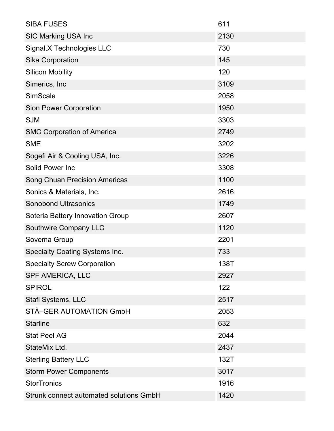| <b>SIBA FUSES</b>                       | 611  |
|-----------------------------------------|------|
| <b>SIC Marking USA Inc</b>              | 2130 |
| Signal.X Technologies LLC               | 730  |
| <b>Sika Corporation</b>                 | 145  |
| <b>Silicon Mobility</b>                 | 120  |
| Simerics, Inc.                          | 3109 |
| <b>SimScale</b>                         | 2058 |
| <b>Sion Power Corporation</b>           | 1950 |
| <b>SJM</b>                              | 3303 |
| <b>SMC Corporation of America</b>       | 2749 |
| <b>SME</b>                              | 3202 |
| Sogefi Air & Cooling USA, Inc.          | 3226 |
| <b>Solid Power Inc</b>                  | 3308 |
| <b>Song Chuan Precision Americas</b>    | 1100 |
| Sonics & Materials, Inc.                | 2616 |
| <b>Sonobond Ultrasonics</b>             | 1749 |
| Soteria Battery Innovation Group        | 2607 |
| Southwire Company LLC                   | 1120 |
| Sovema Group                            | 2201 |
| <b>Specialty Coating Systems Inc.</b>   | 733  |
| <b>Specialty Screw Corporation</b>      | 138T |
| <b>SPF AMERICA, LLC</b>                 | 2927 |
| <b>SPIROL</b>                           | 122  |
| Stafl Systems, LLC                      | 2517 |
| STÃ-GER AUTOMATION GmbH                 | 2053 |
| <b>Starline</b>                         | 632  |
| <b>Stat Peel AG</b>                     | 2044 |
| StateMix Ltd.                           | 2437 |
| <b>Sterling Battery LLC</b>             | 132T |
| <b>Storm Power Components</b>           | 3017 |
| <b>StorTronics</b>                      | 1916 |
| Strunk connect automated solutions GmbH | 1420 |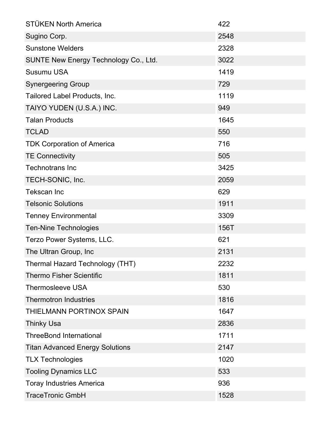| <b>STÜKEN North America</b>                  | 422  |
|----------------------------------------------|------|
| Sugino Corp.                                 | 2548 |
| <b>Sunstone Welders</b>                      | 2328 |
| <b>SUNTE New Energy Technology Co., Ltd.</b> | 3022 |
| <b>Susumu USA</b>                            | 1419 |
| <b>Synergeering Group</b>                    | 729  |
| Tailored Label Products, Inc.                | 1119 |
| TAIYO YUDEN (U.S.A.) INC.                    | 949  |
| <b>Talan Products</b>                        | 1645 |
| <b>TCLAD</b>                                 | 550  |
| <b>TDK Corporation of America</b>            | 716  |
| <b>TE Connectivity</b>                       | 505  |
| <b>Technotrans Inc</b>                       | 3425 |
| TECH-SONIC, Inc.                             | 2059 |
| <b>Tekscan Inc</b>                           | 629  |
| <b>Telsonic Solutions</b>                    | 1911 |
| <b>Tenney Environmental</b>                  | 3309 |
| <b>Ten-Nine Technologies</b>                 | 156T |
| Terzo Power Systems, LLC.                    | 621  |
| The Ultran Group, Inc                        | 2131 |
| Thermal Hazard Technology (THT)              | 2232 |
| <b>Thermo Fisher Scientific</b>              | 1811 |
| <b>Thermosleeve USA</b>                      | 530  |
| <b>Thermotron Industries</b>                 | 1816 |
| THIELMANN PORTINOX SPAIN                     | 1647 |
| <b>Thinky Usa</b>                            | 2836 |
| <b>ThreeBond International</b>               | 1711 |
| <b>Titan Advanced Energy Solutions</b>       | 2147 |
| <b>TLX Technologies</b>                      | 1020 |
| <b>Tooling Dynamics LLC</b>                  | 533  |
| <b>Toray Industries America</b>              | 936  |
| <b>TraceTronic GmbH</b>                      | 1528 |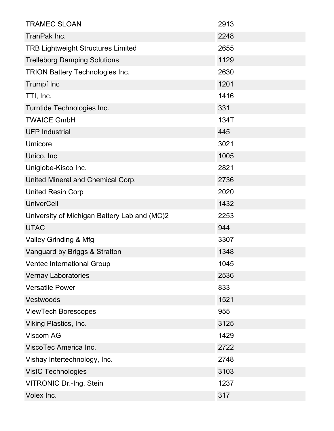| <b>TRAMEC SLOAN</b>                          | 2913 |
|----------------------------------------------|------|
| TranPak Inc.                                 | 2248 |
| <b>TRB Lightweight Structures Limited</b>    | 2655 |
| <b>Trelleborg Damping Solutions</b>          | 1129 |
| <b>TRION Battery Technologies Inc.</b>       | 2630 |
| <b>Trumpf Inc</b>                            | 1201 |
| TTI, Inc.                                    | 1416 |
| Turntide Technologies Inc.                   | 331  |
| <b>TWAICE GmbH</b>                           | 134T |
| <b>UFP Industrial</b>                        | 445  |
| Umicore                                      | 3021 |
| Unico, Inc                                   | 1005 |
| Uniglobe-Kisco Inc.                          | 2821 |
| United Mineral and Chemical Corp.            | 2736 |
| <b>United Resin Corp</b>                     | 2020 |
| <b>UniverCell</b>                            | 1432 |
| University of Michigan Battery Lab and (MC)2 | 2253 |
| <b>UTAC</b>                                  | 944  |
| Valley Grinding & Mfg                        | 3307 |
| Vanguard by Briggs & Stratton                | 1348 |
| Ventec International Group                   | 1045 |
| <b>Vernay Laboratories</b>                   | 2536 |
| <b>Versatile Power</b>                       | 833  |
| Vestwoods                                    | 1521 |
| <b>ViewTech Borescopes</b>                   | 955  |
| <b>Viking Plastics, Inc.</b>                 | 3125 |
| Viscom AG                                    | 1429 |
| ViscoTec America Inc.                        | 2722 |
| Vishay Intertechnology, Inc.                 | 2748 |
| <b>VisIC Technologies</b>                    | 3103 |
| <b>VITRONIC Dr.-Ing. Stein</b>               | 1237 |
| Volex Inc.                                   | 317  |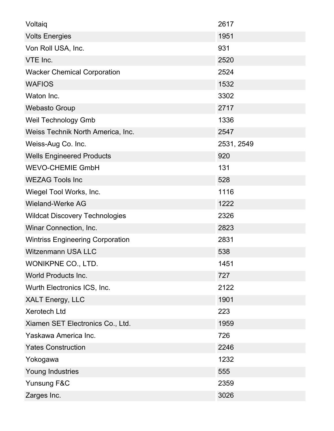| Voltaig                                 | 2617       |
|-----------------------------------------|------------|
| <b>Volts Energies</b>                   | 1951       |
| Von Roll USA, Inc.                      | 931        |
| VTE Inc.                                | 2520       |
| <b>Wacker Chemical Corporation</b>      | 2524       |
| <b>WAFIOS</b>                           | 1532       |
| Waton Inc.                              | 3302       |
| <b>Webasto Group</b>                    | 2717       |
| Weil Technology Gmb                     | 1336       |
| Weiss Technik North America, Inc.       | 2547       |
| Weiss-Aug Co. Inc.                      | 2531, 2549 |
| <b>Wells Engineered Products</b>        | 920        |
| <b>WEVO-CHEMIE GmbH</b>                 | 131        |
| <b>WEZAG Tools Inc</b>                  | 528        |
| Wiegel Tool Works, Inc.                 | 1116       |
| <b>Wieland-Werke AG</b>                 | 1222       |
| <b>Wildcat Discovery Technologies</b>   | 2326       |
| Winar Connection, Inc.                  | 2823       |
| <b>Wintriss Engineering Corporation</b> | 2831       |
| <b>Witzenmann USA LLC</b>               | 538        |
| WONIKPNE CO., LTD.                      | 1451       |
| <b>World Products Inc.</b>              | 727        |
| Wurth Electronics ICS, Inc.             | 2122       |
| <b>XALT Energy, LLC</b>                 | 1901       |
| <b>Xerotech Ltd</b>                     | 223        |
| Xiamen SET Electronics Co., Ltd.        | 1959       |
| Yaskawa America Inc.                    | 726        |
| <b>Yates Construction</b>               | 2246       |
| Yokogawa                                | 1232       |
| <b>Young Industries</b>                 | 555        |
| Yunsung F&C                             | 2359       |
| Zarges Inc.                             | 3026       |